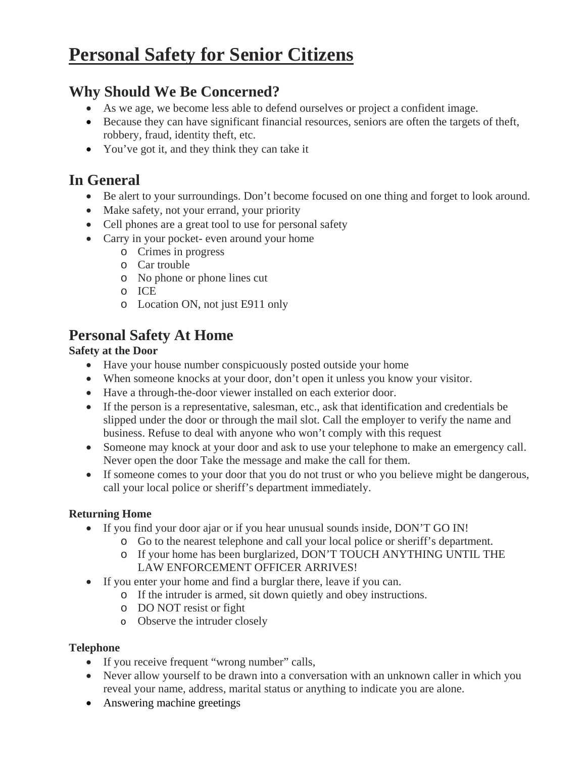# **Personal Safety for Senior Citizens**

# **Why Should We Be Concerned?**

- As we age, we become less able to defend ourselves or project a confident image.
- Because they can have significant financial resources, seniors are often the targets of theft, robbery, fraud, identity theft, etc.
- You've got it, and they think they can take it

# **In General**

- Be alert to your surroundings. Don't become focused on one thing and forget to look around.
- Make safety, not your errand, your priority
- Cell phones are a great tool to use for personal safety
- Carry in your pocket- even around your home
	- o Crimes in progress
	- o Car trouble
	- o No phone or phone lines cut
	- o ICE
	- o Location ON, not just E911 only

# **Personal Safety At Home**

#### **Safety at the Door**

- Have your house number conspicuously posted outside your home
- When someone knocks at your door, don't open it unless you know your visitor.
- Have a through-the-door viewer installed on each exterior door.
- If the person is a representative, salesman, etc., ask that identification and credentials be slipped under the door or through the mail slot. Call the employer to verify the name and business. Refuse to deal with anyone who won't comply with this request
- Someone may knock at your door and ask to use your telephone to make an emergency call. Never open the door Take the message and make the call for them.
- If someone comes to your door that you do not trust or who you believe might be dangerous, call your local police or sheriff's department immediately.

# **Returning Home**

- If you find your door ajar or if you hear unusual sounds inside, DON'T GO IN!
	- o Go to the nearest telephone and call your local police or sheriff's department.
	- o If your home has been burglarized, DON'T TOUCH ANYTHING UNTIL THE LAW ENFORCEMENT OFFICER ARRIVES!
- If you enter your home and find a burglar there, leave if you can.
	- o If the intruder is armed, sit down quietly and obey instructions.
		- o DO NOT resist or fight
		- o Observe the intruder closely

#### **Telephone**

- If you receive frequent "wrong number" calls,
- Never allow yourself to be drawn into a conversation with an unknown caller in which you reveal your name, address, marital status or anything to indicate you are alone.
- Answering machine greetings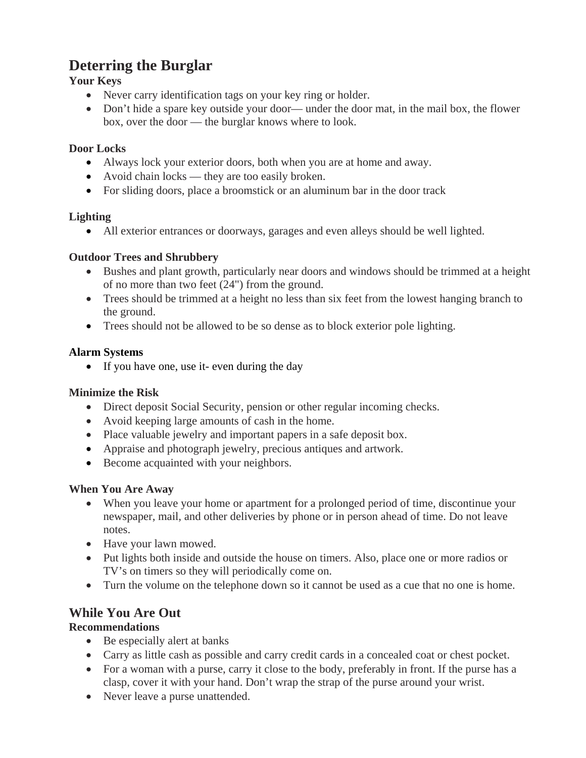# **Deterring the Burglar**

# **Your Keys**

- Never carry identification tags on your key ring or holder.
- Don't hide a spare key outside your door— under the door mat, in the mail box, the flower box, over the door — the burglar knows where to look.

# **Door Locks**

- Always lock your exterior doors, both when you are at home and away.
- Avoid chain locks they are too easily broken.
- For sliding doors, place a broomstick or an aluminum bar in the door track

#### **Lighting**

• All exterior entrances or doorways, garages and even alleys should be well lighted.

#### **Outdoor Trees and Shrubbery**

- Bushes and plant growth, particularly near doors and windows should be trimmed at a height of no more than two feet (24") from the ground.
- Trees should be trimmed at a height no less than six feet from the lowest hanging branch to the ground.
- Trees should not be allowed to be so dense as to block exterior pole lighting.

# **Alarm Systems**

• If you have one, use it- even during the day

# **Minimize the Risk**

- Direct deposit Social Security, pension or other regular incoming checks.
- Avoid keeping large amounts of cash in the home.
- Place valuable jewelry and important papers in a safe deposit box.
- Appraise and photograph jewelry, precious antiques and artwork.
- Become acquainted with your neighbors.

# **When You Are Away**

- When you leave your home or apartment for a prolonged period of time, discontinue your newspaper, mail, and other deliveries by phone or in person ahead of time. Do not leave notes.
- Have your lawn mowed.
- Put lights both inside and outside the house on timers. Also, place one or more radios or TV's on timers so they will periodically come on.
- Turn the volume on the telephone down so it cannot be used as a cue that no one is home.

# **While You Are Out**

# **Recommendations**

- Be especially alert at banks
- Carry as little cash as possible and carry credit cards in a concealed coat or chest pocket.
- For a woman with a purse, carry it close to the body, preferably in front. If the purse has a clasp, cover it with your hand. Don't wrap the strap of the purse around your wrist.
- Never leave a purse unattended.